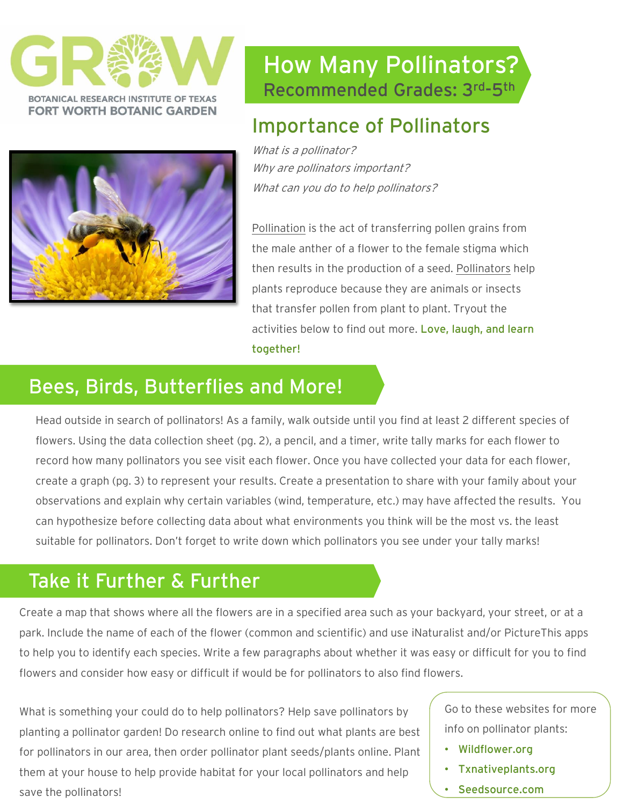



### How Many Pollinators? Recommended Grades: 3rd -5th

### Importance of Pollinators

What is a pollinator? Why are pollinators important? What can you do to help pollinators?

Pollination is the act of transferring pollen grains from the male anther of a flower to the female stigma which then results in the production of a seed. Pollinators help plants reproduce because they are animals or insects that transfer pollen from plant to plant. Tryout the activities below to find out more. Love, laugh, and learn together!

#### Bees, Birds, Butterflies and More!

Head outside in search of pollinators! As a family, walk outside until you find at least 2 different species of flowers. Using the data collection sheet (pg. 2), a pencil, and a timer, write tally marks for each flower to record how many pollinators you see visit each flower. Once you have collected your data for each flower, create a graph (pg. 3) to represent your results. Create a presentation to share with your family about your observations and explain why certain variables (wind, temperature, etc.) may have affected the results. You can hypothesize before collecting data about what environments you think will be the most vs. the least suitable for pollinators. Don't forget to write down which pollinators you see under your tally marks!

### Take it Further & Further

Create a map that shows where all the flowers are in a specified area such as your backyard, your street, or at a park. Include the name of each of the flower (common and scientific) and use iNaturalist and/or PictureThis apps to help you to identify each species. Write a few paragraphs about whether it was easy or difficult for you to find flowers and consider how easy or difficult if would be for pollinators to also find flowers.

What is something your could do to help pollinators? Help save pollinators by planting a pollinator garden! Do research online to find out what plants are best for pollinators in our area, then order pollinator plant seeds/plants online. Plant them at your house to help provide habitat for your local pollinators and help save the pollinators!

Go to these websites for more info on pollinator plants:

- Wildflower.org
- Txnativeplants.org
- Seedsource.com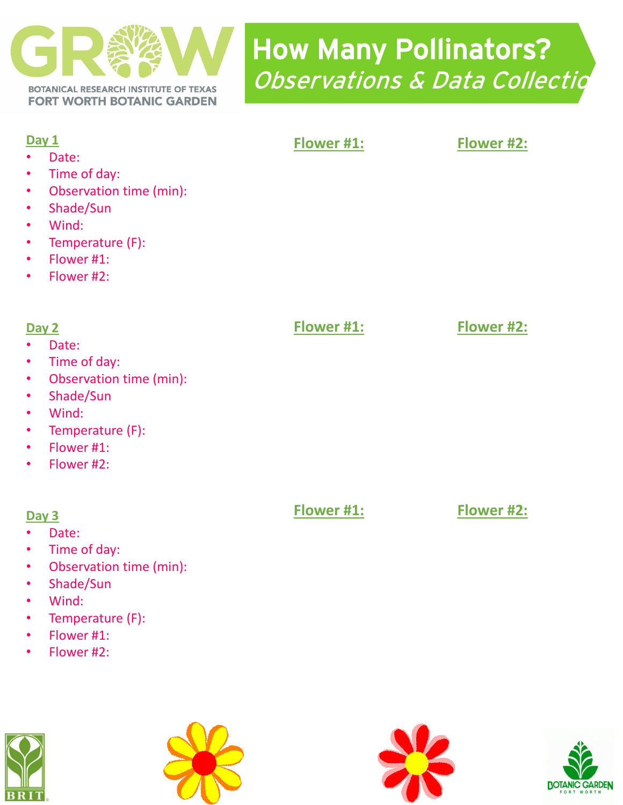

# How Many Pollinators? Observations & Data Collectio

| Day 1<br>Date:<br>Time of day:<br>$\bullet$<br>Observation time (min):<br>$\bullet$<br>Shade/Sun<br>$\bullet$<br>Wind:<br>$\bullet$<br>Temperature (F):<br>$\bullet$<br>Flower #1:<br>$\bullet$<br>Flower #2:<br>$\bullet$ | Flower #1: | Flower #2: |
|----------------------------------------------------------------------------------------------------------------------------------------------------------------------------------------------------------------------------|------------|------------|
| Day 2<br>Date:<br>Time of day:<br>$\bullet$<br>Observation time (min):<br>$\bullet$<br>Shade/Sun<br>$\bullet$<br>Wind:<br>$\bullet$<br>Temperature (F):<br>$\bullet$<br>Flower #1:<br>$\bullet$<br>Flower #2:<br>$\bullet$ | Flower #1: | Flower #2: |
| Day 3                                                                                                                                                                                                                      | Flower #1: | Flower #2: |

- Date:
- Time of day:
- Observation time (min):
- Shade/Sun
- Wind:
- Temperature (F):
- Flower #1:
- Flower #2: